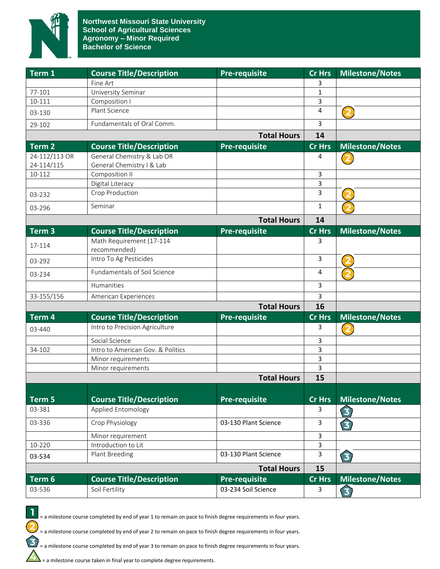

| Term 1            | <b>Course Title/Description</b>          | <b>Pre-requisite</b> | <b>Cr Hrs</b> | <b>Milestone/Notes</b>  |
|-------------------|------------------------------------------|----------------------|---------------|-------------------------|
|                   | Fine Art                                 |                      | 3             |                         |
| 77-101            | University Seminar                       |                      | 1             |                         |
| 10-111            | Composition I                            |                      | 3             |                         |
| 03-130            | Plant Science                            |                      | 4             | $\overline{\mathbf{2}}$ |
| 29-102            | Fundamentals of Oral Comm.               |                      | 3             |                         |
|                   |                                          | <b>Total Hours</b>   | 14            |                         |
| Term <sub>2</sub> | <b>Course Title/Description</b>          | Pre-requisite        | <b>Cr Hrs</b> | Milestone/Notes         |
| 24-112/113 OR     | General Chemistry & Lab OR               |                      | 4             |                         |
| 24-114/115        | General Chemistry I & Lab                |                      |               |                         |
| 10-112            | Composition II                           |                      | 3             |                         |
|                   | Digital Literacy                         |                      | 3             |                         |
| 03-232            | Crop Production                          |                      | 3             |                         |
| 03-296            | Seminar                                  |                      | 1             |                         |
|                   |                                          | <b>Total Hours</b>   | 14            |                         |
| Term <sub>3</sub> | <b>Course Title/Description</b>          | <b>Pre-requisite</b> | Cr Hrs        | <b>Milestone/Notes</b>  |
| 17-114            | Math Requirement (17-114                 |                      | 3             |                         |
|                   | recommended)<br>Intro To Ag Pesticides   |                      | 3             |                         |
| 03-292            |                                          |                      |               |                         |
| 03-234            | Fundamentals of Soil Science             |                      | 4             |                         |
|                   | Humanities                               |                      | 3             |                         |
| 33-155/156        | American Experiences                     |                      | 3             |                         |
|                   |                                          | <b>Total Hours</b>   | 16            |                         |
| Term 4            | <b>Course Title/Description</b>          | <b>Pre-requisite</b> | <b>Cr Hrs</b> | <b>Milestone/Notes</b>  |
| 03-440            | Intro to Precision Agriculture           |                      | 3             | (2                      |
|                   | Social Science                           |                      | 3             |                         |
| 34-102            | Intro to American Gov. & Politics        |                      | 3             |                         |
|                   | Minor requirements<br>Minor requirements |                      | 3<br>3        |                         |
|                   |                                          | <b>Total Hours</b>   | 15            |                         |
|                   |                                          |                      |               |                         |
| Term 5            | <b>Course Title/Description</b>          | Pre-requisite        | <b>Cr Hrs</b> | <b>Milestone/Notes</b>  |
| 03-381            | <b>Applied Entomology</b>                |                      | 3             | 3                       |
| 03-336            | Crop Physiology                          | 03-130 Plant Science | 3             | 3)                      |
|                   | Minor requirement                        |                      | 3             |                         |
| 10-220            | Introduction to Lit                      |                      | 3             |                         |
| 03-534            | Plant Breeding                           | 03-130 Plant Science | 3             | $\bf{E}$                |
|                   |                                          | <b>Total Hours</b>   | 15            |                         |
| Term <sub>6</sub> | <b>Course Title/Description</b>          | <b>Pre-requisite</b> | <b>Cr Hrs</b> | <b>Milestone/Notes</b>  |
| 03-536            | Soil Fertility                           | 03-234 Soil Science  | 3             | 3                       |
|                   |                                          |                      |               |                         |



 $\mathbf{I}$ 

 $\overline{\mathbf{c}}$ 

 $\mathbf{B}$ 

= a milestone course completed by end of year 2 to remain on pace to finish degree requirements in four years.

= a milestone course completed by end of year 3 to remain on pace to finish degree requirements in four years.

 $\sum$  = a milestone course taken in final year to complete degree requirements.